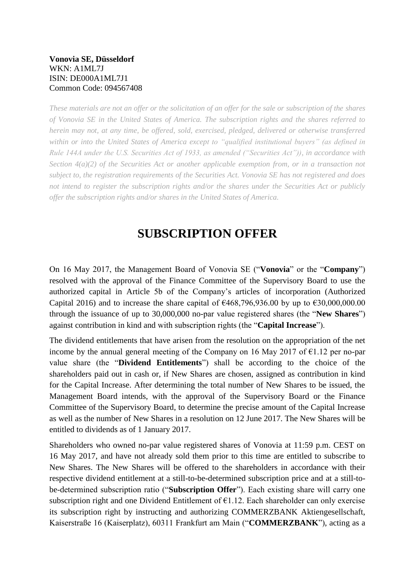### **Vonovia SE, Düsseldorf** WKN: A1ML7J ISIN: DE000A1ML7J1 Common Code: 094567408

*These materials are not an offer or the solicitation of an offer for the sale or subscription of the shares of Vonovia SE in the United States of America. The subscription rights and the shares referred to herein may not, at any time, be offered, sold, exercised, pledged, delivered or otherwise transferred within or into the United States of America except to "qualified institutional buyers" (as defined in Rule 144A under the U.S. Securities Act of 1933, as amended ("Securities Act")), in accordance with Section 4(a)(2) of the Securities Act or another applicable exemption from, or in a transaction not subject to, the registration requirements of the Securities Act. Vonovia SE has not registered and does not intend to register the subscription rights and/or the shares under the Securities Act or publicly offer the subscription rights and/or shares in the United States of America.*

# **SUBSCRIPTION OFFER**

On 16 May 2017, the Management Board of Vonovia SE ("**Vonovia**" or the "**Company**") resolved with the approval of the Finance Committee of the Supervisory Board to use the authorized capital in Article 5b of the Company's articles of incorporation (Authorized Capital 2016) and to increase the share capital of  $\epsilon$ 468,796,936.00 by up to  $\epsilon$ 30,000,000.00 through the issuance of up to 30,000,000 no-par value registered shares (the "**New Shares**") against contribution in kind and with subscription rights (the "**Capital Increase**").

The dividend entitlements that have arisen from the resolution on the appropriation of the net income by the annual general meeting of the Company on 16 May 2017 of  $\epsilon$ 1.12 per no-par value share (the "**Dividend Entitlements**") shall be according to the choice of the shareholders paid out in cash or, if New Shares are chosen, assigned as contribution in kind for the Capital Increase. After determining the total number of New Shares to be issued, the Management Board intends, with the approval of the Supervisory Board or the Finance Committee of the Supervisory Board, to determine the precise amount of the Capital Increase as well as the number of New Shares in a resolution on 12 June 2017. The New Shares will be entitled to dividends as of 1 January 2017.

Shareholders who owned no-par value registered shares of Vonovia at 11:59 p.m. CEST on 16 May 2017, and have not already sold them prior to this time are entitled to subscribe to New Shares. The New Shares will be offered to the shareholders in accordance with their respective dividend entitlement at a still-to-be-determined subscription price and at a still-tobe-determined subscription ratio ("**Subscription Offer**"). Each existing share will carry one subscription right and one Dividend Entitlement of  $E1.12$ . Each shareholder can only exercise its subscription right by instructing and authorizing COMMERZBANK Aktiengesellschaft, Kaiserstraße 16 (Kaiserplatz), 60311 Frankfurt am Main ("**COMMERZBANK**"), acting as a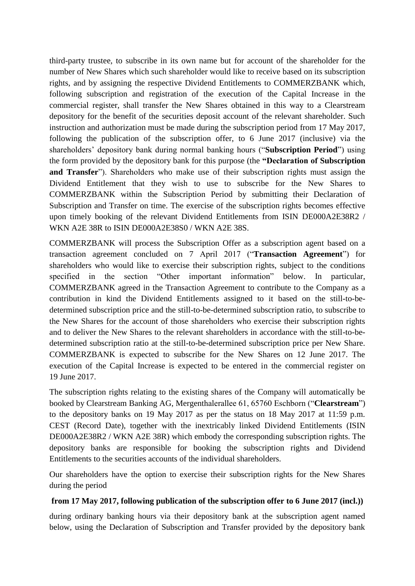third-party trustee, to subscribe in its own name but for account of the shareholder for the number of New Shares which such shareholder would like to receive based on its subscription rights, and by assigning the respective Dividend Entitlements to COMMERZBANK which, following subscription and registration of the execution of the Capital Increase in the commercial register, shall transfer the New Shares obtained in this way to a Clearstream depository for the benefit of the securities deposit account of the relevant shareholder. Such instruction and authorization must be made during the subscription period from 17 May 2017, following the publication of the subscription offer, to 6 June 2017 (inclusive) via the shareholders' depository bank during normal banking hours ("**Subscription Period**") using the form provided by the depository bank for this purpose (the **"Declaration of Subscription and Transfer**"). Shareholders who make use of their subscription rights must assign the Dividend Entitlement that they wish to use to subscribe for the New Shares to COMMERZBANK within the Subscription Period by submitting their Declaration of Subscription and Transfer on time. The exercise of the subscription rights becomes effective upon timely booking of the relevant Dividend Entitlements from ISIN DE000A2E38R2 / WKN A2E 38R to ISIN DE000A2E38S0 / WKN A2E 38S.

COMMERZBANK will process the Subscription Offer as a subscription agent based on a transaction agreement concluded on 7 April 2017 ("**Transaction Agreement**") for shareholders who would like to exercise their subscription rights, subject to the conditions specified in the section "Other important information" below. In particular, COMMERZBANK agreed in the Transaction Agreement to contribute to the Company as a contribution in kind the Dividend Entitlements assigned to it based on the still-to-bedetermined subscription price and the still-to-be-determined subscription ratio, to subscribe to the New Shares for the account of those shareholders who exercise their subscription rights and to deliver the New Shares to the relevant shareholders in accordance with the still-to-bedetermined subscription ratio at the still-to-be-determined subscription price per New Share. COMMERZBANK is expected to subscribe for the New Shares on 12 June 2017. The execution of the Capital Increase is expected to be entered in the commercial register on 19 June 2017.

The subscription rights relating to the existing shares of the Company will automatically be booked by Clearstream Banking AG, Mergenthalerallee 61, 65760 Eschborn ("**Clearstream**") to the depository banks on 19 May 2017 as per the status on 18 May 2017 at 11:59 p.m. CEST (Record Date), together with the inextricably linked Dividend Entitlements (ISIN DE000A2E38R2 / WKN A2E 38R) which embody the corresponding subscription rights. The depository banks are responsible for booking the subscription rights and Dividend Entitlements to the securities accounts of the individual shareholders.

Our shareholders have the option to exercise their subscription rights for the New Shares during the period

## **from 17 May 2017, following publication of the subscription offer to 6 June 2017 (incl.))**

during ordinary banking hours via their depository bank at the subscription agent named below, using the Declaration of Subscription and Transfer provided by the depository bank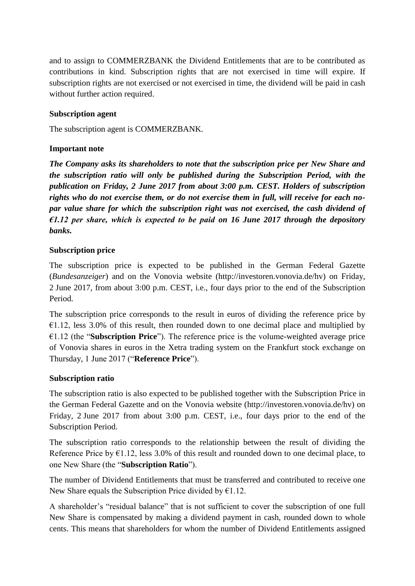and to assign to COMMERZBANK the Dividend Entitlements that are to be contributed as contributions in kind. Subscription rights that are not exercised in time will expire. If subscription rights are not exercised or not exercised in time, the dividend will be paid in cash without further action required.

## **Subscription agent**

The subscription agent is COMMERZBANK.

## **Important note**

*The Company asks its shareholders to note that the subscription price per New Share and the subscription ratio will only be published during the Subscription Period, with the publication on Friday, 2 June 2017 from about 3:00 p.m. CEST. Holders of subscription rights who do not exercise them, or do not exercise them in full, will receive for each nopar value share for which the subscription right was not exercised, the cash dividend of €1.12 per share, which is expected to be paid on 16 June 2017 through the depository banks.* 

### **Subscription price**

The subscription price is expected to be published in the German Federal Gazette (*Bundesanzeiger*) and on the Vonovia website (http://investoren.vonovia.de/hv) on Friday, 2 June 2017, from about 3:00 p.m. CEST, i.e., four days prior to the end of the Subscription Period.

The subscription price corresponds to the result in euros of dividing the reference price by  $\epsilon$ 1.12, less 3.0% of this result, then rounded down to one decimal place and multiplied by €1.12 (the "**Subscription Price**"). The reference price is the volume-weighted average price of Vonovia shares in euros in the Xetra trading system on the Frankfurt stock exchange on Thursday, 1 June 2017 ("**Reference Price**").

## **Subscription ratio**

The subscription ratio is also expected to be published together with the Subscription Price in the German Federal Gazette and on the Vonovia website (http://investoren.vonovia.de/hv) on Friday, 2 June 2017 from about 3:00 p.m. CEST, i.e., four days prior to the end of the Subscription Period.

The subscription ratio corresponds to the relationship between the result of dividing the Reference Price by  $\epsilon$ 1.12, less 3.0% of this result and rounded down to one decimal place, to one New Share (the "**Subscription Ratio**").

The number of Dividend Entitlements that must be transferred and contributed to receive one New Share equals the Subscription Price divided by  $E1.12$ .

A shareholder's "residual balance" that is not sufficient to cover the subscription of one full New Share is compensated by making a dividend payment in cash, rounded down to whole cents. This means that shareholders for whom the number of Dividend Entitlements assigned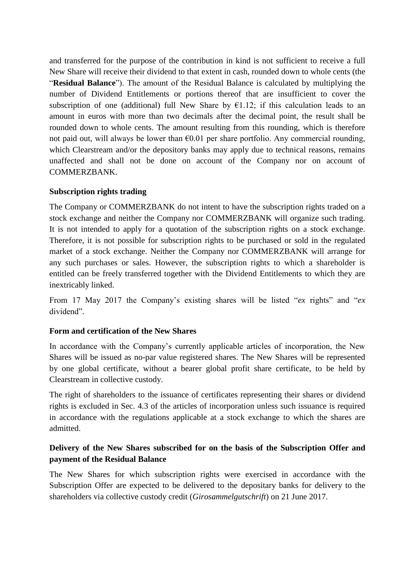and transferred for the purpose of the contribution in kind is not sufficient to receive a full New Share will receive their dividend to that extent in cash, rounded down to whole cents (the "**Residual Balance**"). The amount of the Residual Balance is calculated by multiplying the number of Dividend Entitlements or portions thereof that are insufficient to cover the subscription of one (additional) full New Share by  $E1.12$ ; if this calculation leads to an amount in euros with more than two decimals after the decimal point, the result shall be rounded down to whole cents. The amount resulting from this rounding, which is therefore not paid out, will always be lower than  $\epsilon 0.01$  per share portfolio. Any commercial rounding, which Clearstream and/or the depository banks may apply due to technical reasons, remains unaffected and shall not be done on account of the Company nor on account of COMMERZBANK.

### **Subscription rights trading**

The Company or COMMERZBANK do not intent to have the subscription rights traded on a stock exchange and neither the Company nor COMMERZBANK will organize such trading. It is not intended to apply for a quotation of the subscription rights on a stock exchange. Therefore, it is not possible for subscription rights to be purchased or sold in the regulated market of a stock exchange. Neither the Company nor COMMERZBANK will arrange for any such purchases or sales. However, the subscription rights to which a shareholder is entitled can be freely transferred together with the Dividend Entitlements to which they are inextricably linked.

From 17 May 2017 the Company's existing shares will be listed "*ex* rights" and "*ex* dividend".

## **Form and certification of the New Shares**

In accordance with the Company's currently applicable articles of incorporation, the New Shares will be issued as no-par value registered shares. The New Shares will be represented by one global certificate, without a bearer global profit share certificate, to be held by Clearstream in collective custody.

The right of shareholders to the issuance of certificates representing their shares or dividend rights is excluded in Sec. 4.3 of the articles of incorporation unless such issuance is required in accordance with the regulations applicable at a stock exchange to which the shares are admitted.

## **Delivery of the New Shares subscribed for on the basis of the Subscription Offer and payment of the Residual Balance**

The New Shares for which subscription rights were exercised in accordance with the Subscription Offer are expected to be delivered to the depositary banks for delivery to the shareholders via collective custody credit (*Girosammelgutschrift*) on 21 June 2017.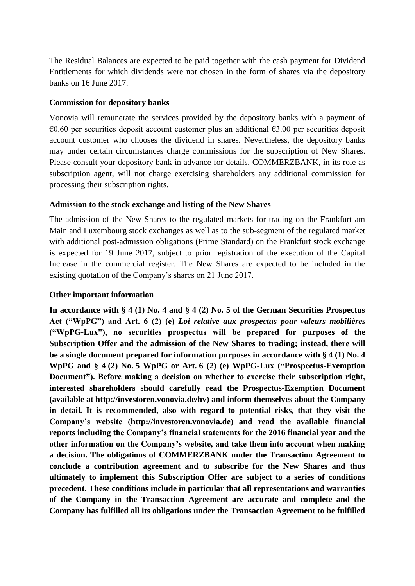The Residual Balances are expected to be paid together with the cash payment for Dividend Entitlements for which dividends were not chosen in the form of shares via the depository banks on 16 June 2017.

#### **Commission for depository banks**

Vonovia will remunerate the services provided by the depository banks with a payment of  $€0.60$  per securities deposit account customer plus an additional  $€3.00$  per securities deposit account customer who chooses the dividend in shares. Nevertheless, the depository banks may under certain circumstances charge commissions for the subscription of New Shares. Please consult your depository bank in advance for details. COMMERZBANK, in its role as subscription agent, will not charge exercising shareholders any additional commission for processing their subscription rights.

### **Admission to the stock exchange and listing of the New Shares**

The admission of the New Shares to the regulated markets for trading on the Frankfurt am Main and Luxembourg stock exchanges as well as to the sub-segment of the regulated market with additional post-admission obligations (Prime Standard) on the Frankfurt stock exchange is expected for 19 June 2017, subject to prior registration of the execution of the Capital Increase in the commercial register. The New Shares are expected to be included in the existing quotation of the Company's shares on 21 June 2017.

## **Other important information**

**In accordance with § 4 (1) No. 4 and § 4 (2) No. 5 of the German Securities Prospectus Act ("WpPG") and Art. 6 (2) (e)** *Loi relative aux prospectus pour valeurs mobilières* **("WpPG-Lux"), no securities prospectus will be prepared for purposes of the Subscription Offer and the admission of the New Shares to trading; instead, there will be a single document prepared for information purposes in accordance with § 4 (1) No. 4 WpPG and § 4 (2) No. 5 WpPG or Art. 6 (2) (e) WpPG-Lux ("Prospectus-Exemption Document"). Before making a decision on whether to exercise their subscription right, interested shareholders should carefully read the Prospectus-Exemption Document (available at http://investoren.vonovia.de/hv) and inform themselves about the Company in detail. It is recommended, also with regard to potential risks, that they visit the Company's website (http://investoren.vonovia.de) and read the available financial reports including the Company's financial statements for the 2016 financial year and the other information on the Company's website, and take them into account when making a decision. The obligations of COMMERZBANK under the Transaction Agreement to conclude a contribution agreement and to subscribe for the New Shares and thus ultimately to implement this Subscription Offer are subject to a series of conditions precedent. These conditions include in particular that all representations and warranties of the Company in the Transaction Agreement are accurate and complete and the Company has fulfilled all its obligations under the Transaction Agreement to be fulfilled**